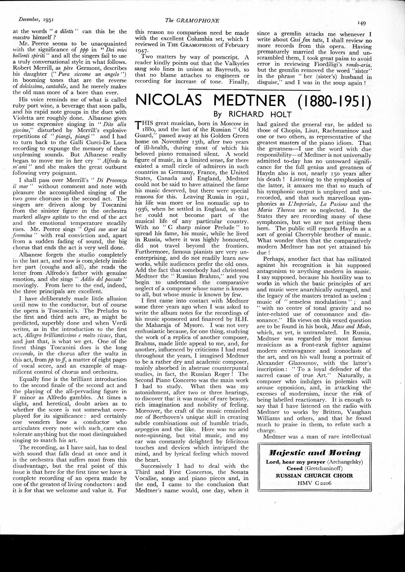at the words " *a diletti* " can this be the *maestro* himself ?

Mr. Peerce seems to be unacquainted with the significance of *ppp* in "*Dei miei bollenti spiriti* " and all the singers fail to use a truly conversational style in what follows. Robert Merrill, as *père* Germont, describes his daughter (" *Pura siccome un angelo* ") in booming tones that are the reverse of *dolcissirrio, cantabile,* and he merely makes the old man more of a bore than ever.

His voice reminds me of what is called ruby port wine, a beverage that soon palls, and his rapid note groups in the duet with Violetta are roughly done. Albanese gives us some expressive singing in " *Dite alla giovine,"* disturbed by Merrill's explosive repetitions of *"piangi, piangi* " and I had to turn back to the Galli Curci-De Luca recording to expunge the memory of these unpleasing sounds. But Albanese really began to move me in her cry " *Aifredo tu m' ami* " and she makes the great outburst following very poignant.

I shall pass over Merrill's " *Di Provenza*  without comment and note with pleasure the accomplished singing of the two *genre* choruses in the second act. The singers are driven along by Toscanini from the sinister figure in the orchestra marked *allegro agitato* to the end of the act and the emotional temperature steadily rises. Mr. Peerce sings " *Ogni suo aver tal femmina* '' with real conviction and, apart from a sudden fading of sound, the big chorus that ends the act is very well done.

Albanese forgets the studio completely in the last act, and now is completely inside her part (coughs and all), she reads the letter from Alfredo's father with genuine emotion, and she sings " *Addio del passato* " movingly. From here to the end, indeed, the three principals are excellent.

I have deliberately made little allusion until now to the conductor, but of course the opera is Toscanini's. The Preludes to the first and third acts are, as might be predicted, superbly done and when Verdi writes, as in the introduction to the first act, *Allegro brilliantissimo e molto vivace,* that, and just that, is what we get. One of the finest things Toscanini does is the long *crescendo,* in the chorus after the waltz in this act, from  $pp$  to  $ff$ , a matter of eight pages of vocal score, and an example of magnificent control of chorus and orchestra.

Equally fine is the brilliant introduction to the second finale of the second act and the playing of the all-pervading figure in F minor as Alfredo gambles. At times a slight, and heretical, doubt arises as to whether the score is not somewhat overplayed for its significance: and certainly one wonders how a conductor who articulates every note with such. care can tolerate anything but the most distinguished singing to match his art.

The recording, as I have said, has to deal with sound that falls dead at once and it is the orchestra that suffers most from this disadvantage, but the real point of this issue is that here for the first time we have a complete recording of an opera made by one of the greatest of living conductors : and it is for that we welcome and value it. For

this reasori no comparison need be made with the excellent Columbia set, which I reviewed in THE GRAMOPHONE of February 1947·

*The GRAMOPHONE* 

Two matters by way of postscript. A reader kindly points out that the Valkyries sang solo lines in unison at Bayreuth, so that no blame attaches to engineers or recording for increase of tone. Finally,

since a gremlin attacks me whenever I write about *Cosi fan tutte,* I shall review no more. records from this opera, Having prematurely married the lovers and un $s$ crambled them, I took great pains to avoid error in reviewing Fiordiligi's rondo-aria, but the gremlin removed the word "sister" in the phrase " her (sister's) husband in disguise," and I was in the soup again!

## **NI COLAS MEDTNER** ( **I 880- I 9 5 I) By RICHARD HOLT**

THIS great musician, born in Moscow in r88o, and the last of the Russian " Old Guard," passed away at his Golders Green home on November 13th, after two years of ill-health, during most of which his beloved piano remained silent. A world figure of music, in a limited sense, for there existed a small circle of admirers in such countries as Germany, France, the United States, Canada and England, Medtner could not be said to have attained the fame his music deserved, but there were special reasons for this. Leaving Russia in 1921, his life was more or less nomadic up to 1936, when he settled in England, so that he could not become part of the musical life of any particular country. With no "C sharp minor Prelude" to spread his fame, his music, while he lived in Russia, where it was highly honoured, did not travel beyond the frontiers. Furthermore, famous pianists are very unenterprising, and do not readily learn new works, while audiences prefer the old ones. Add the fact that somebody had christened Medtner the " Russian Brahms," and you begin to understand the comparative neglect of a composer whose name is known to all, but whose music is known by few,

I first came into contact with Medtner some three years ago when I was asked to write the album notes for the recordings of his music sponsored and financed by H.H. the Maharaja of Mysore. I was not very enthusiastic because, for one thing, studying the work of a replica of another composer, Brahms, made little appeal to me, and, for another, influenced by criticisms I had read throughout the years, I imagined Medtner to be a rather dry and academic composer, mainly absorbed in abstruse counterpuntal studies, in fact, the Russian Reger ! The Second Piano Concerto was the main work I had to study. What then was my astonishment, after two or three hearings, to discover that it was music of rare beautv, rich imagination and nobility of feeling. Moreover, the craft of the music reminded me of Beethoven's unique skill in creating subtle combinations out of humble triads, arpeggios and the like. Here was no arid note-spinning, but vital music, and my ear was .constantly delighted by felicitous touches and devices which intrigued the mind, and by lyrical feeling which moved the heart.

Successively I had to deal with the Third and First Concertos, the Sonata Vocalise, songs and piano pieces and, in the end, I came to the conclusion that Medtner's name would, one day, when it

had gained the general ear, be added to those of Chopin, Liszt, Rachmaninov and one or two others, as representative of the greatest masters of the piano idiom. That the greatness—I use the word with due responsibility- of Medtner is not universally admitted to-day has no untoward significance for the full genius and greatness of Haydn also is not, nearly 150 years after his death ! Listening to the symphonies of the latter, it amazes me that so much of his symphonic output is unplayed and unrecorded, and that such marvellous symphonies as *L'Imperiale*, *La Pasione* and the *Maria Theresa* are so neglected. In the States they are recording many of these symphonies, but we are not getting them here. The public still regards Haydn as a sort of genial Cheeryble brother of music. What wonder then that the comparatively modern Medtner has not yet attained his due!

Perhaps; another fact that has militated against his recognition is his supposed antagonism to anything modern in music. I say supposed, because his hostility was to works in which the basic principles of art and music were anarchically outraged, and the legacy of the masters treated as useless ; music of " senseless modulations " ; and " with no centre of tonal gravity and no inter-related use of consonance and dissonance." His views oh this vexed question are to be found in his book, *Muse and Mode,*  which, as yet, is untranslated. In Russia, Medtner was regarded by most famous musicians as a front-rank fighter against modern extravagance and iconoclasts of the art, and on his wall hung a portrait of Alexander Glazounov, with the latter's inscription: "To a loyal defender of the sacred cause of true Art." Naturally, a composer who indulges in polemics will arouse opposition, and, in attacking the excesses of modernism, incur the risk of being labelled reactionary. It is enough to say that I have listened on the radio with Medtner to works by Britten, Vaughan Williams and others, and that he found much to praise in them, to refute such a charge.

Medtner was a man of rare intellectual

*lllajestic and llloving*  **Lord, hear my prayer** (Archangelsky) **Creed** (Gretchaninoff) **RUSSIAN CHURCH CHOIR**  HMV.C22o6